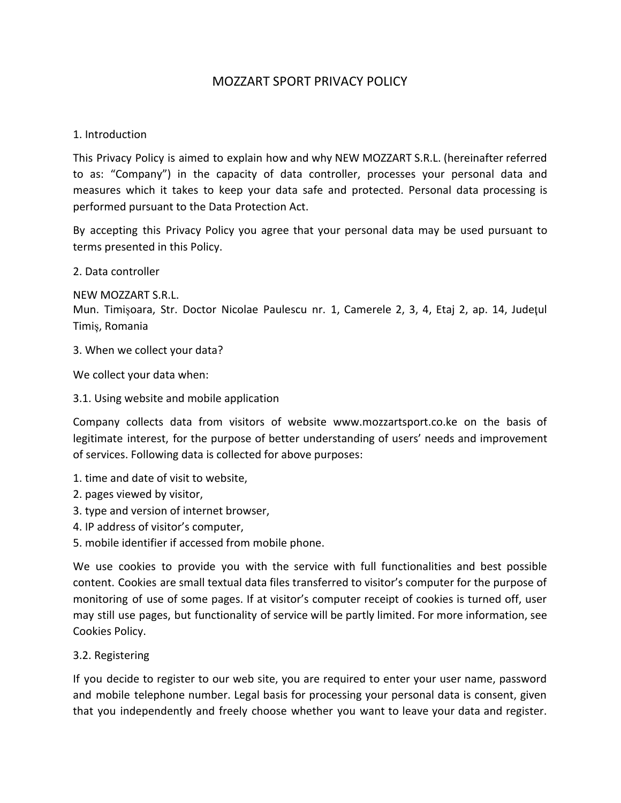# MOZZART SPORT PRIVACY POLICY

### 1. Introduction

This Privacy Policy is aimed to explain how and why NEW MOZZART S.R.L. (hereinafter referred to as: "Company") in the capacity of data controller, processes your personal data and measures which it takes to keep your data safe and protected. Personal data processing is performed pursuant to the Data Protection Act.

By accepting this Privacy Policy you agree that your personal data may be used pursuant to terms presented in this Policy.

2. Data controller

NEW MOZZART S.R.L.

Mun. Timișoara, Str. Doctor Nicolae Paulescu nr. 1, Camerele 2, 3, 4, Etaj 2, ap. 14, Județul Timiș, Romania

3. When we collect your data?

We collect your data when:

3.1. Using website and mobile application

Company collects data from visitors of website www.mozzartsport.co.ke on the basis of legitimate interest, for the purpose of better understanding of users' needs and improvement of services. Following data is collected for above purposes:

- 1. time and date of visit to website,
- 2. pages viewed by visitor,
- 3. type and version of internet browser,
- 4. IP address of visitor's computer,
- 5. mobile identifier if accessed from mobile phone.

We use cookies to provide you with the service with full functionalities and best possible content. Cookies are small textual data files transferred to visitor's computer for the purpose of monitoring of use of some pages. If at visitor's computer receipt of cookies is turned off, user may still use pages, but functionality of service will be partly limited. For more information, see Cookies Policy.

### 3.2. Registering

If you decide to register to our web site, you are required to enter your user name, password and mobile telephone number. Legal basis for processing your personal data is consent, given that you independently and freely choose whether you want to leave your data and register.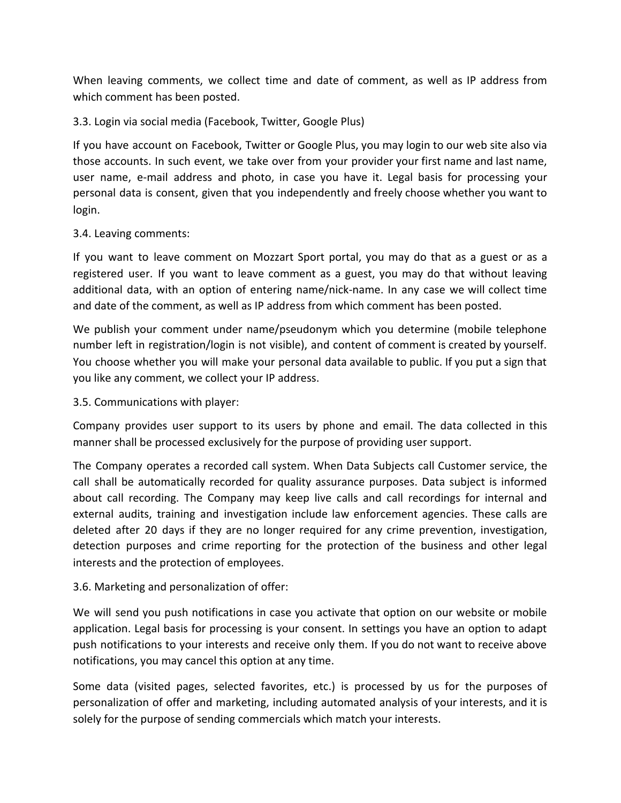When leaving comments, we collect time and date of comment, as well as IP address from which comment has been posted.

## 3.3. Login via social media (Facebook, Twitter, Google Plus)

If you have account on Facebook, Twitter or Google Plus, you may login to our web site also via those accounts. In such event, we take over from your provider your first name and last name, user name, e-mail address and photo, in case you have it. Legal basis for processing your personal data is consent, given that you independently and freely choose whether you want to login.

### 3.4. Leaving comments:

If you want to leave comment on Mozzart Sport portal, you may do that as a guest or as a registered user. If you want to leave comment as a guest, you may do that without leaving additional data, with an option of entering name/nick-name. In any case we will collect time and date of the comment, as well as IP address from which comment has been posted.

We publish your comment under name/pseudonym which you determine (mobile telephone number left in registration/login is not visible), and content of comment is created by yourself. You choose whether you will make your personal data available to public. If you put a sign that you like any comment, we collect your IP address.

### 3.5. Communications with player:

Company provides user support to its users by phone and email. The data collected in this manner shall be processed exclusively for the purpose of providing user support.

The Company operates a recorded call system. When Data Subjects call Customer service, the call shall be automatically recorded for quality assurance purposes. Data subject is informed about call recording. The Company may keep live calls and call recordings for internal and external audits, training and investigation include law enforcement agencies. These calls are deleted after 20 days if they are no longer required for any crime prevention, investigation, detection purposes and crime reporting for the protection of the business and other legal interests and the protection of employees.

### 3.6. Marketing and personalization of offer:

We will send you push notifications in case you activate that option on our website or mobile application. Legal basis for processing is your consent. In settings you have an option to adapt push notifications to your interests and receive only them. If you do not want to receive above notifications, you may cancel this option at any time.

Some data (visited pages, selected favorites, etc.) is processed by us for the purposes of personalization of offer and marketing, including automated analysis of your interests, and it is solely for the purpose of sending commercials which match your interests.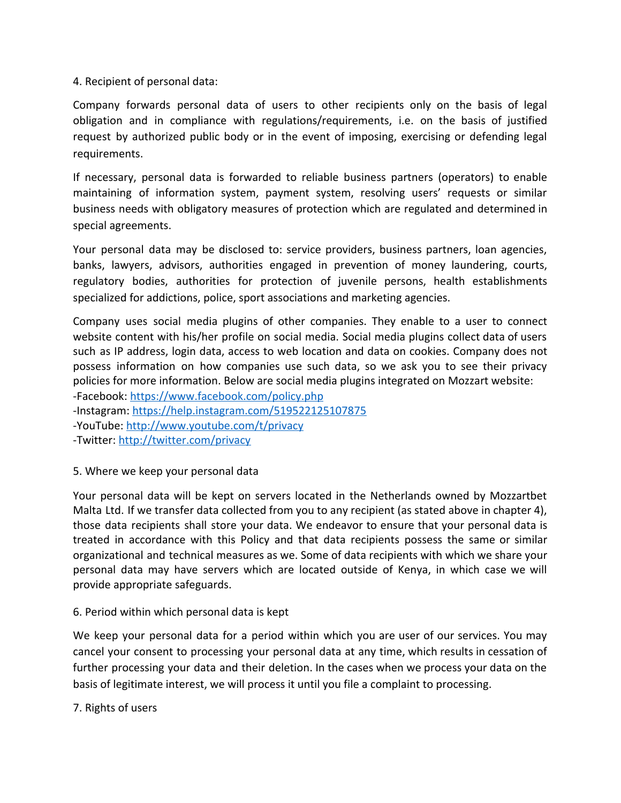4. Recipient of personal data:

Company forwards personal data of users to other recipients only on the basis of legal obligation and in compliance with regulations/requirements, i.e. on the basis of justified request by authorized public body or in the event of imposing, exercising or defending legal requirements.

If necessary, personal data is forwarded to reliable business partners (operators) to enable maintaining of information system, payment system, resolving users' requests or similar business needs with obligatory measures of protection which are regulated and determined in special agreements.

Your personal data may be disclosed to: service providers, business partners, loan agencies, banks, lawyers, advisors, authorities engaged in prevention of money laundering, courts, regulatory bodies, authorities for protection of juvenile persons, health establishments specialized for addictions, police, sport associations and marketing agencies.

Company uses social media plugins of other companies. They enable to a user to connect website content with his/her profile on social media. Social media plugins collect data of users such as IP address, login data, access to web location and data on cookies. Company does not possess information on how companies use such data, so we ask you to see their privacy policies for more information. Below are social media plugins integrated on Mozzart website:

-Facebook:<https://www.facebook.com/policy.php>

-Instagram:<https://help.instagram.com/519522125107875>

-YouTube:<http://www.youtube.com/t/privacy>

-Twitter: <http://twitter.com/privacy>

5. Where we keep your personal data

Your personal data will be kept on servers located in the Netherlands owned by Mozzartbet Malta Ltd. If we transfer data collected from you to any recipient (as stated above in chapter 4), those data recipients shall store your data. We endeavor to ensure that your personal data is treated in accordance with this Policy and that data recipients possess the same or similar organizational and technical measures as we. Some of data recipients with which we share your personal data may have servers which are located outside of Kenya, in which case we will provide appropriate safeguards.

### 6. Period within which personal data is kept

We keep your personal data for a period within which you are user of our services. You may cancel your consent to processing your personal data at any time, which results in cessation of further processing your data and their deletion. In the cases when we process your data on the basis of legitimate interest, we will process it until you file a complaint to processing.

7. Rights of users